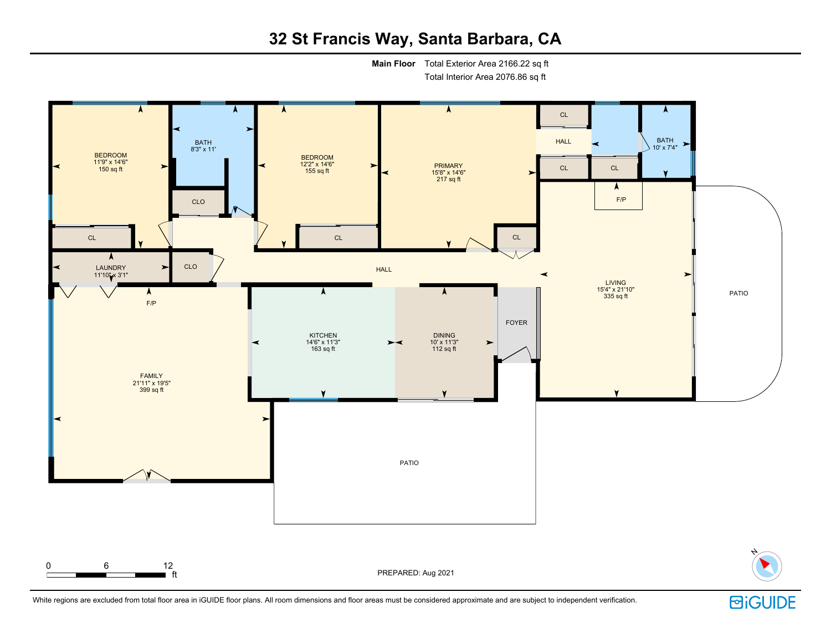# **32 St Francis Way, Santa Barbara, CA**

**Main Floor** Total Exterior Area 2166.22 sq ft

Total Interior Area 2076.86 sq ft



White regions are excluded from total floor area in iGUIDE floor plans. All room dimensions and floor areas must be considered approximate and are subject to independent verification.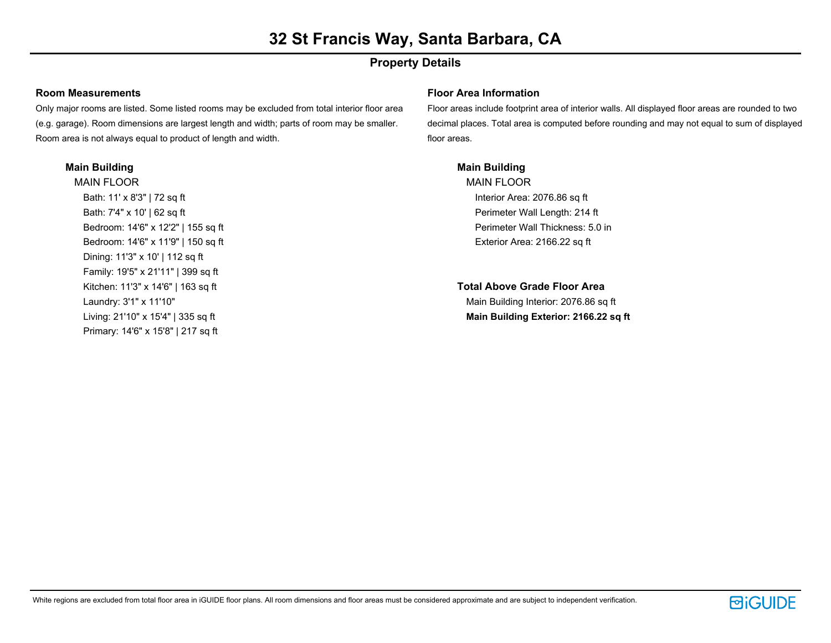## **Property Details**

### **Room Measurements**

Only major rooms are listed. Some listed rooms may be excluded from total interior floor area (e.g. garage). Room dimensions are largest length and width; parts of room may be smaller. Room area is not always equal to product of length and width.

### **Main Building**

MAIN FLOOR Bath: 11' x 8'3" | 72 sq ft Bath: 7'4" x 10' | 62 sq ft Bedroom: 14'6" x 12'2" | 155 sq ft Bedroom: 14'6" x 11'9" | 150 sq ft Dining: 11'3" x 10' | 112 sq ft Family: 19'5" x 21'11" | 399 sq ft Kitchen: 11'3" x 14'6" | 163 sq ft Laundry: 3'1" x 11'10" Living: 21'10" x 15'4" | 335 sq ft Primary: 14'6" x 15'8" | 217 sq ft

### **Floor Area Information**

Floor areas include footprint area of interior walls. All displayed floor areas are rounded to two decimal places. Total area is computed before rounding and may not equal to sum of displayed floor areas.

### **Main Building**

MAIN FLOOR Interior Area: 2076.86 sq ft Perimeter Wall Length: 214 ft Perimeter Wall Thickness: 5.0 in Exterior Area: 2166.22 sq ft

**Total Above Grade Floor Area** Main Building Interior: 2076.86 sq ft **Main Building Exterior: 2166.22 sq ft**